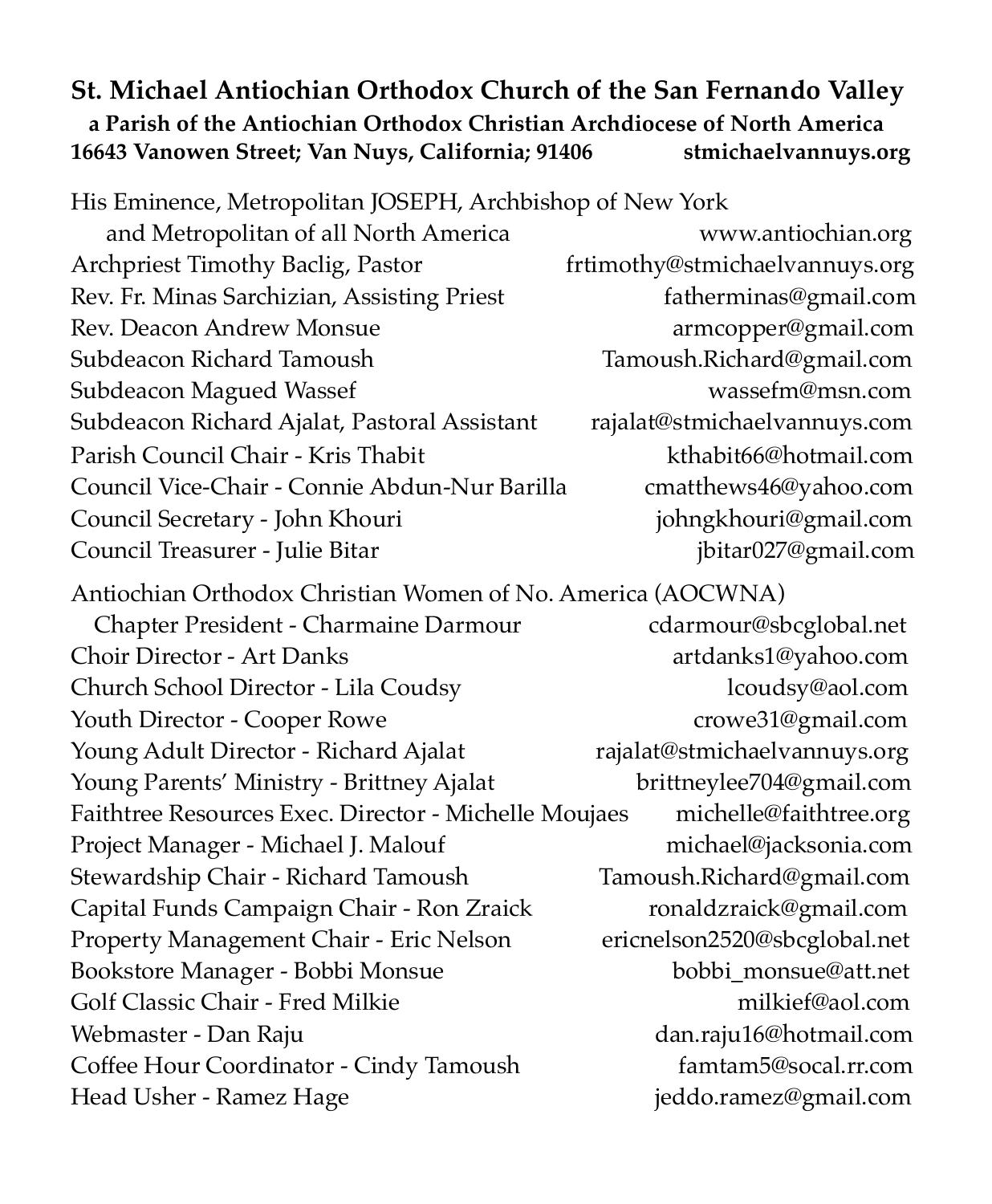#### **St. Michael Antiochian Orthodox Church of the San Fernando Valley a Parish of the Antiochian Orthodox Christian Archdiocese of North America 16643 Vanowen Street; Van Nuys, California; 91406 stmichaelvannuys.org**

His Eminence, Metropolitan JOSEPH, Archbishop of New York

 and Metropolitan of all North America www.antiochian.org Archpriest Timothy Baclig, Pastor frtimothy@stmichaelvannuys.org Rev. Fr. Minas Sarchizian, Assisting Priest fatherminas@gmail.com Rev. Deacon Andrew Monsue armcopper@gmail.com Subdeacon Richard Tamoush Tamoush.Richard@gmail.com Subdeacon Magued Wassef wasser wassefm@msn.com Subdeacon Richard Ajalat, Pastoral Assistant rajalat@stmichaelvannuys.com Parish Council Chair - Kris Thabit [kthabit66@hotmail.com](mailto:kthabit66@hotmail.com) Council Vice-Chair - Connie Abdun-Nur Barilla cmatthews46@yahoo.com Council Secretary - John Khouri johngkhouri@gmail.com Council Treasurer - Julie Bitar *jointar027@gmail.com* 

Antiochian Orthodox Christian Women of No. America (AOCWNA) Chapter President - Charmaine Darmour cdarmour@sbcglobal.net Choir Director - Art Danks artdanks1@yahoo.com Church School Director - Lila Coudsy lcoudsy@aol.com Youth Director - Cooper Rowe crowe31@gmail.com Young Adult Director - Richard Ajalat rajalat@stmichaelvannuys.org Young Parents' Ministry - Brittney Ajalat brittneylee704@gmail.com Faithtree Resources Exec. Director - Michelle Moujaes michelle@faithtree.org Project Manager - Michael J. Malouf [michael@jacksonia.com](mailto:michael@jacksonia.com) Stewardship Chair - Richard Tamoush Tamoush.Richard@gmail.com Capital Funds Campaign Chair - Ron Zraick [ronaldzraick@gmail.com](mailto:ronaldzraick@gmail.com) Property Management Chair - Eric Nelson ericnelson2520@sbcglobal.net Bookstore Manager - Bobbi Monsue bobbi monsue@att.net Golf Classic Chair - Fred Milkie milkief@aol.com Webmaster - Dan Raju dan.raju16@hotmail.com Coffee Hour Coordinator - Cindy Tamoush famtam5@socal.rr.com Head Usher - Ramez Hage in the settlem is eddo.ramez@gmail.com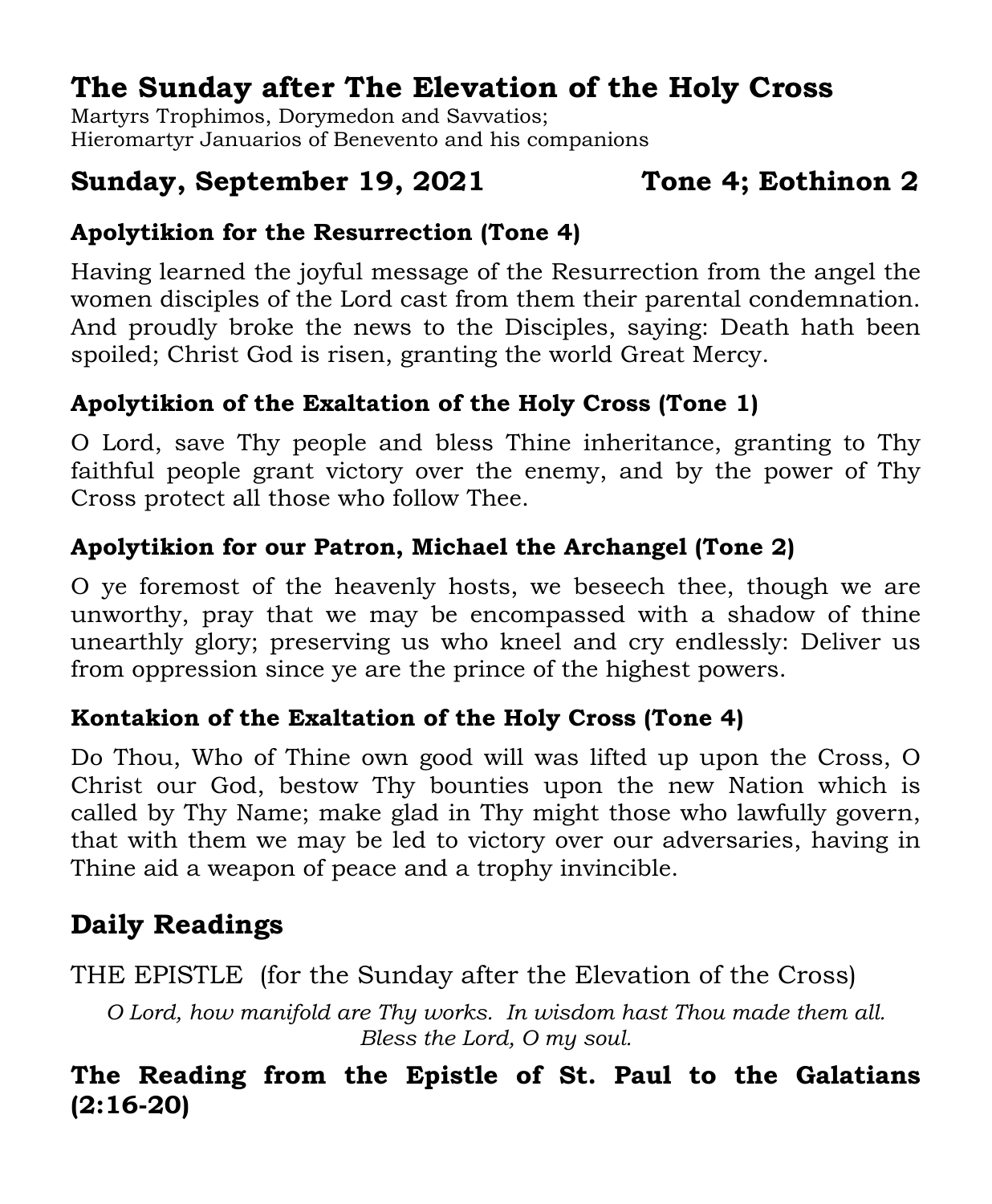## **The Sunday after The Elevation of the Holy Cross**

Martyrs Trophimos, Dorymedon and Savvatios; Hieromartyr Januarios of Benevento and his companions

#### **Sunday, September 19, 2021 Tone 4; Eothinon 2**

#### **Apolytikion for the Resurrection (Tone 4)**

Having learned the joyful message of the Resurrection from the angel the women disciples of the Lord cast from them their parental condemnation. And proudly broke the news to the Disciples, saying: Death hath been spoiled; Christ God is risen, granting the world Great Mercy.

#### **Apolytikion of the Exaltation of the Holy Cross (Tone 1)**

O Lord, save Thy people and bless Thine inheritance, granting to Thy faithful people grant victory over the enemy, and by the power of Thy Cross protect all those who follow Thee.

#### **Apolytikion for our Patron, Michael the Archangel (Tone 2)**

O ye foremost of the heavenly hosts, we beseech thee, though we are unworthy, pray that we may be encompassed with a shadow of thine unearthly glory; preserving us who kneel and cry endlessly: Deliver us from oppression since ye are the prince of the highest powers.

#### **Kontakion of the Exaltation of the Holy Cross (Tone 4)**

Do Thou, Who of Thine own good will was lifted up upon the Cross, O Christ our God, bestow Thy bounties upon the new Nation which is called by Thy Name; make glad in Thy might those who lawfully govern, that with them we may be led to victory over our adversaries, having in Thine aid a weapon of peace and a trophy invincible.

## **Daily Readings**

THE EPISTLE (for the Sunday after the Elevation of the Cross)

*O Lord, how manifold are Thy works. In wisdom hast Thou made them all. Bless the Lord, O my soul.*

#### **The Reading from the Epistle of St. Paul to the Galatians (2:16-20)**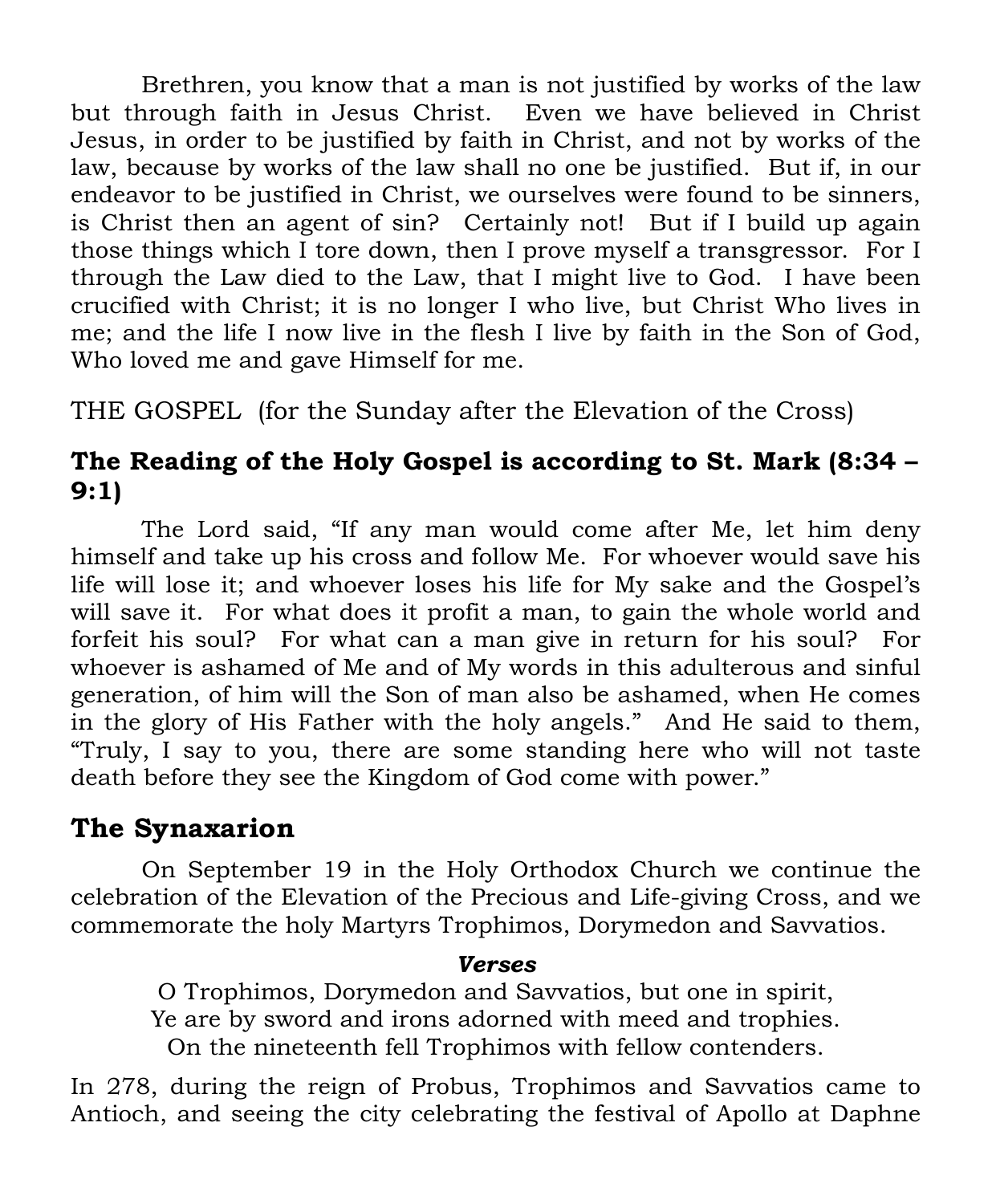Brethren, you know that a man is not justified by works of the law but through faith in Jesus Christ. Even we have believed in Christ Jesus, in order to be justified by faith in Christ, and not by works of the law, because by works of the law shall no one be justified. But if, in our endeavor to be justified in Christ, we ourselves were found to be sinners, is Christ then an agent of sin? Certainly not! But if I build up again those things which I tore down, then I prove myself a transgressor. For I through the Law died to the Law, that I might live to God. I have been crucified with Christ; it is no longer I who live, but Christ Who lives in me; and the life I now live in the flesh I live by faith in the Son of God, Who loved me and gave Himself for me.

THE GOSPEL (for the Sunday after the Elevation of the Cross)

#### **The Reading of the Holy Gospel is according to St. Mark (8:34 – 9:1)**

The Lord said, "If any man would come after Me, let him deny himself and take up his cross and follow Me. For whoever would save his life will lose it; and whoever loses his life for My sake and the Gospel's will save it. For what does it profit a man, to gain the whole world and forfeit his soul? For what can a man give in return for his soul? For whoever is ashamed of Me and of My words in this adulterous and sinful generation, of him will the Son of man also be ashamed, when He comes in the glory of His Father with the holy angels." And He said to them, "Truly, I say to you, there are some standing here who will not taste death before they see the Kingdom of God come with power."

#### **The Synaxarion**

On September 19 in the Holy Orthodox Church we continue the celebration of the Elevation of the Precious and Life-giving Cross, and we commemorate the holy Martyrs Trophimos, Dorymedon and Savvatios.

#### *Verses*

O Trophimos, Dorymedon and Savvatios, but one in spirit, Ye are by sword and irons adorned with meed and trophies. On the nineteenth fell Trophimos with fellow contenders.

In 278, during the reign of Probus, Trophimos and Savvatios came to Antioch, and seeing the city celebrating the festival of Apollo at Daphne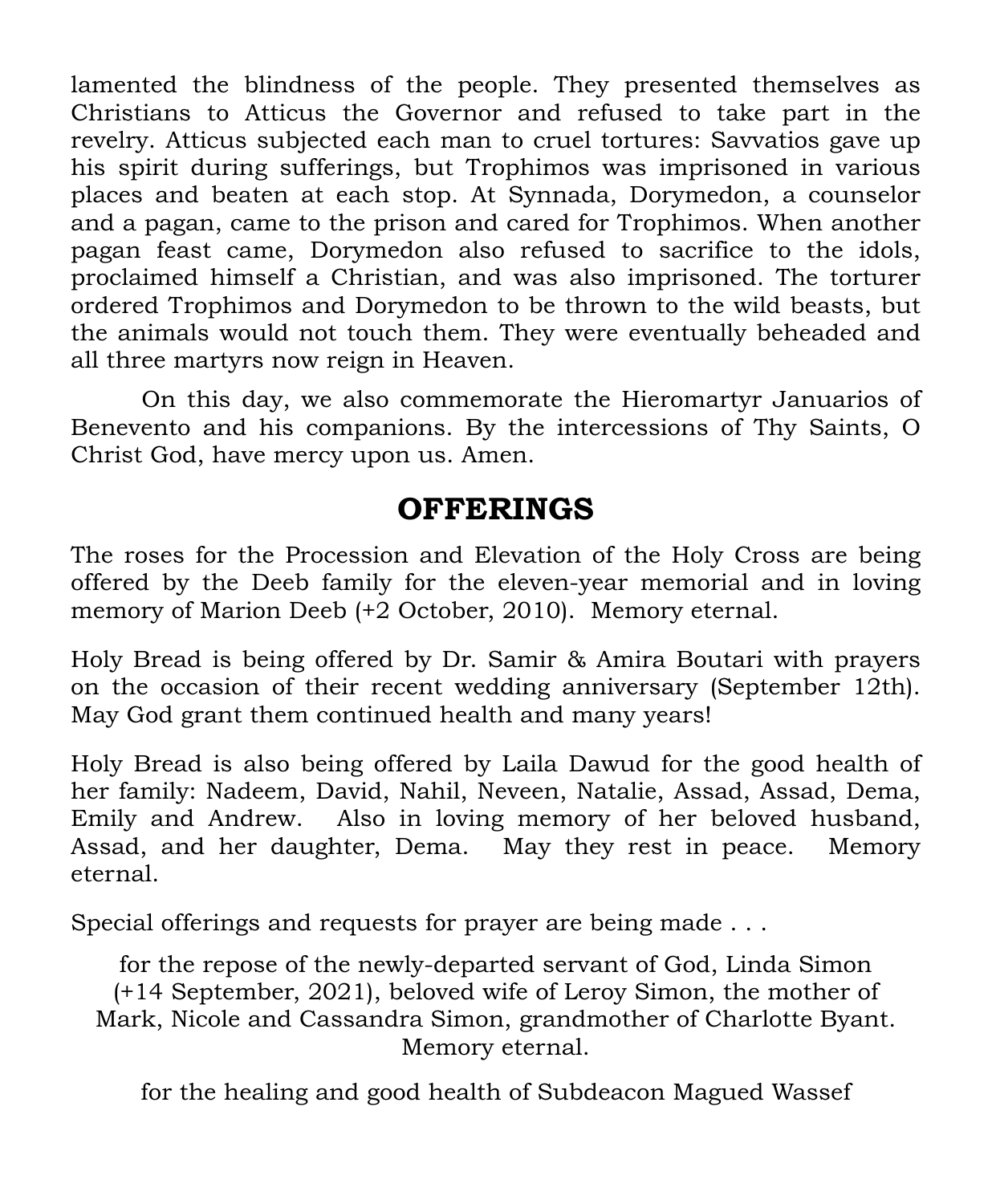lamented the blindness of the people. They presented themselves as Christians to Atticus the Governor and refused to take part in the revelry. Atticus subjected each man to cruel tortures: Savvatios gave up his spirit during sufferings, but Trophimos was imprisoned in various places and beaten at each stop. At Synnada, Dorymedon, a counselor and a pagan, came to the prison and cared for Trophimos. When another pagan feast came, Dorymedon also refused to sacrifice to the idols, proclaimed himself a Christian, and was also imprisoned. The torturer ordered Trophimos and Dorymedon to be thrown to the wild beasts, but the animals would not touch them. They were eventually beheaded and all three martyrs now reign in Heaven.

On this day, we also commemorate the Hieromartyr Januarios of Benevento and his companions. By the intercessions of Thy Saints, O Christ God, have mercy upon us. Amen.

## **OFFERINGS**

The roses for the Procession and Elevation of the Holy Cross are being offered by the Deeb family for the eleven-year memorial and in loving memory of Marion Deeb (+2 October, 2010). Memory eternal.

Holy Bread is being offered by Dr. Samir & Amira Boutari with prayers on the occasion of their recent wedding anniversary (September 12th). May God grant them continued health and many years!

Holy Bread is also being offered by Laila Dawud for the good health of her family: Nadeem, David, Nahil, Neveen, Natalie, Assad, Assad, Dema, Emily and Andrew. Also in loving memory of her beloved husband, Assad, and her daughter, Dema. May they rest in peace. Memory eternal.

Special offerings and requests for prayer are being made . . .

for the repose of the newly-departed servant of God, Linda Simon (+14 September, 2021), beloved wife of Leroy Simon, the mother of Mark, Nicole and Cassandra Simon, grandmother of Charlotte Byant. Memory eternal.

for the healing and good health of Subdeacon Magued Wassef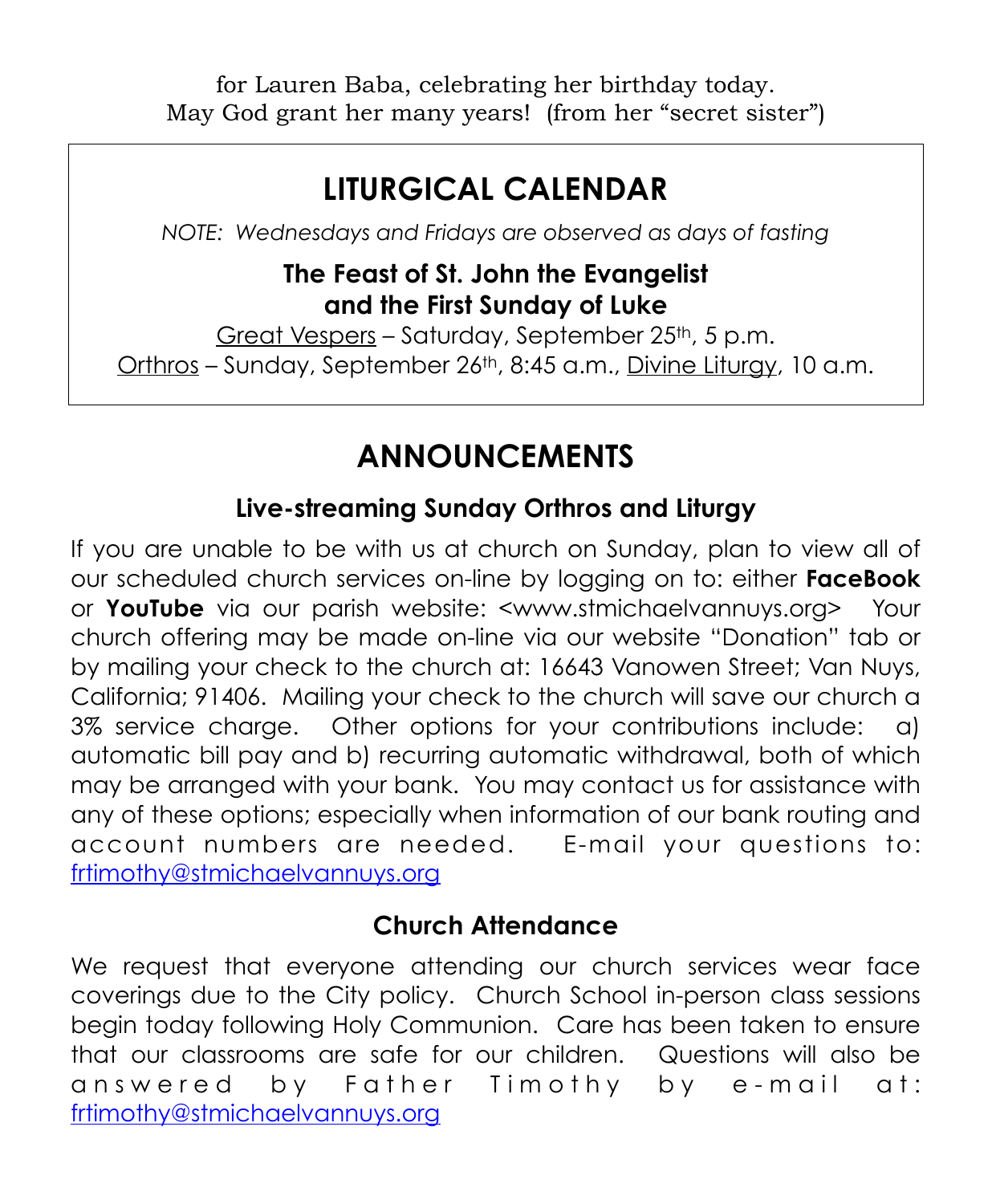for Lauren Baba, celebrating her birthday today. May God grant her many years! (from her "secret sister")

## **LITURGICAL CALENDAR**

*NOTE: Wednesdays and Fridays are observed as days of fasting*

#### **The Feast of St. John the Evangelist and the First Sunday of Luke**

Great Vespers – Saturday, September 25th, 5 p.m. Orthros – Sunday, September 26th, 8:45 a.m., Divine Liturgy, 10 a.m.

## **ANNOUNCEMENTS**

#### **Live-streaming Sunday Orthros and Liturgy**

If you are unable to be with us at church on Sunday, plan to view all of our scheduled church services on-line by logging on to: either **FaceBook** or **YouTube** via our parish website: <[www.stmichaelvannuys.org>](http://www.stmichaelvannuys.org) Your church offering may be made on-line via our website "Donation" tab or by mailing your check to the church at: 16643 Vanowen Street; Van Nuys, California; 91406. Mailing your check to the church will save our church a 3% service charge. Other options for your contributions include: a) automatic bill pay and b) recurring automatic withdrawal, both of which may be arranged with your bank. You may contact us for assistance with any of these options; especially when information of our bank routing and account numbers are needed. E-mail your questions to: [frtimothy@stmichaelvannuys.org](mailto:frtimothy@stmichaelvannuys.org) 

#### **Church Attendance**

We request that everyone attending our church services wear face coverings due to the City policy. Church School in-person class sessions begin today following Holy Communion. Care has been taken to ensure that our classrooms are safe for our children. Questions will also be answered by Father Timothy by e-mail at: [frtimothy@stmichaelvannuys.org](mailto:frtimothy@stmichaelvannuys.org)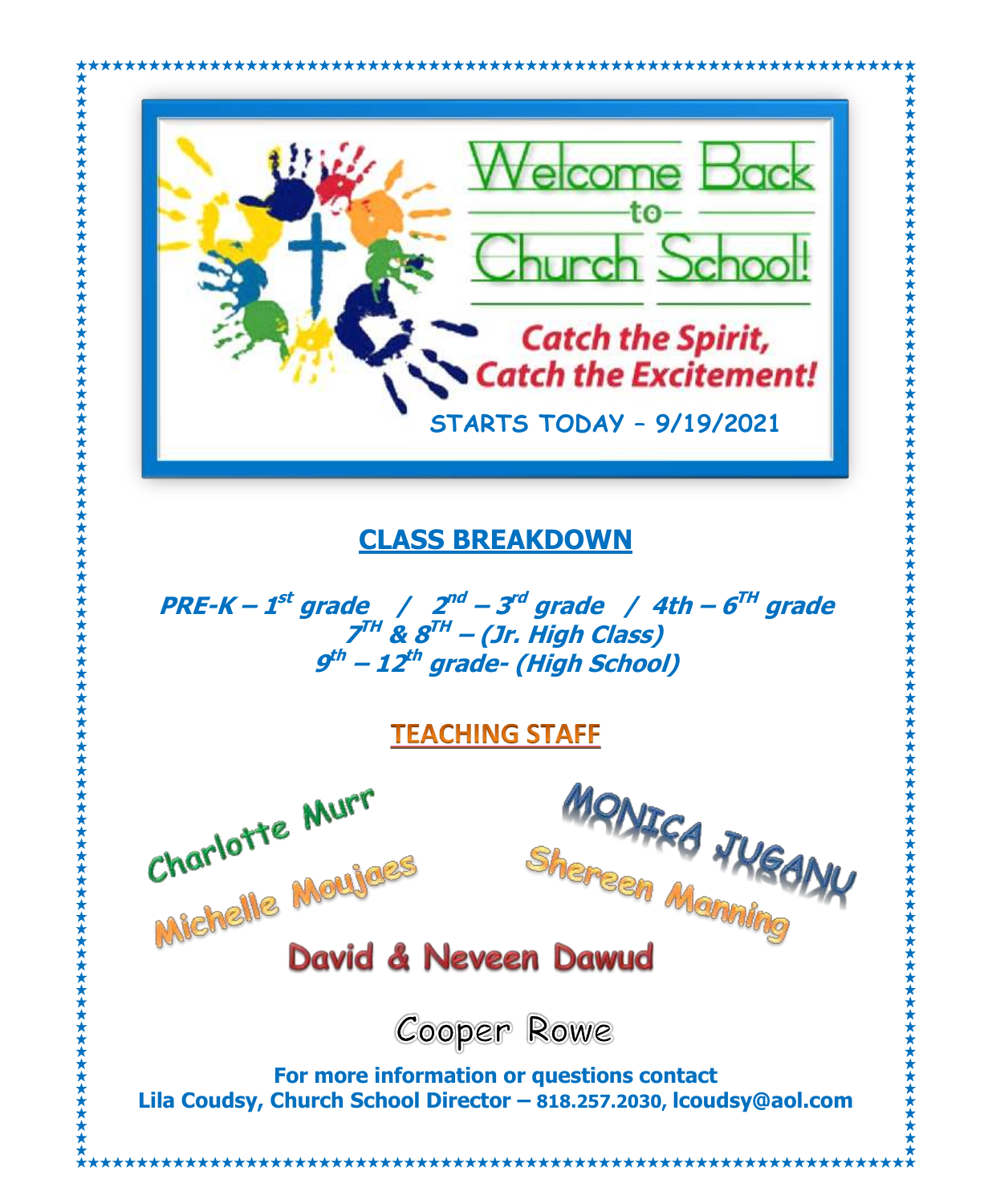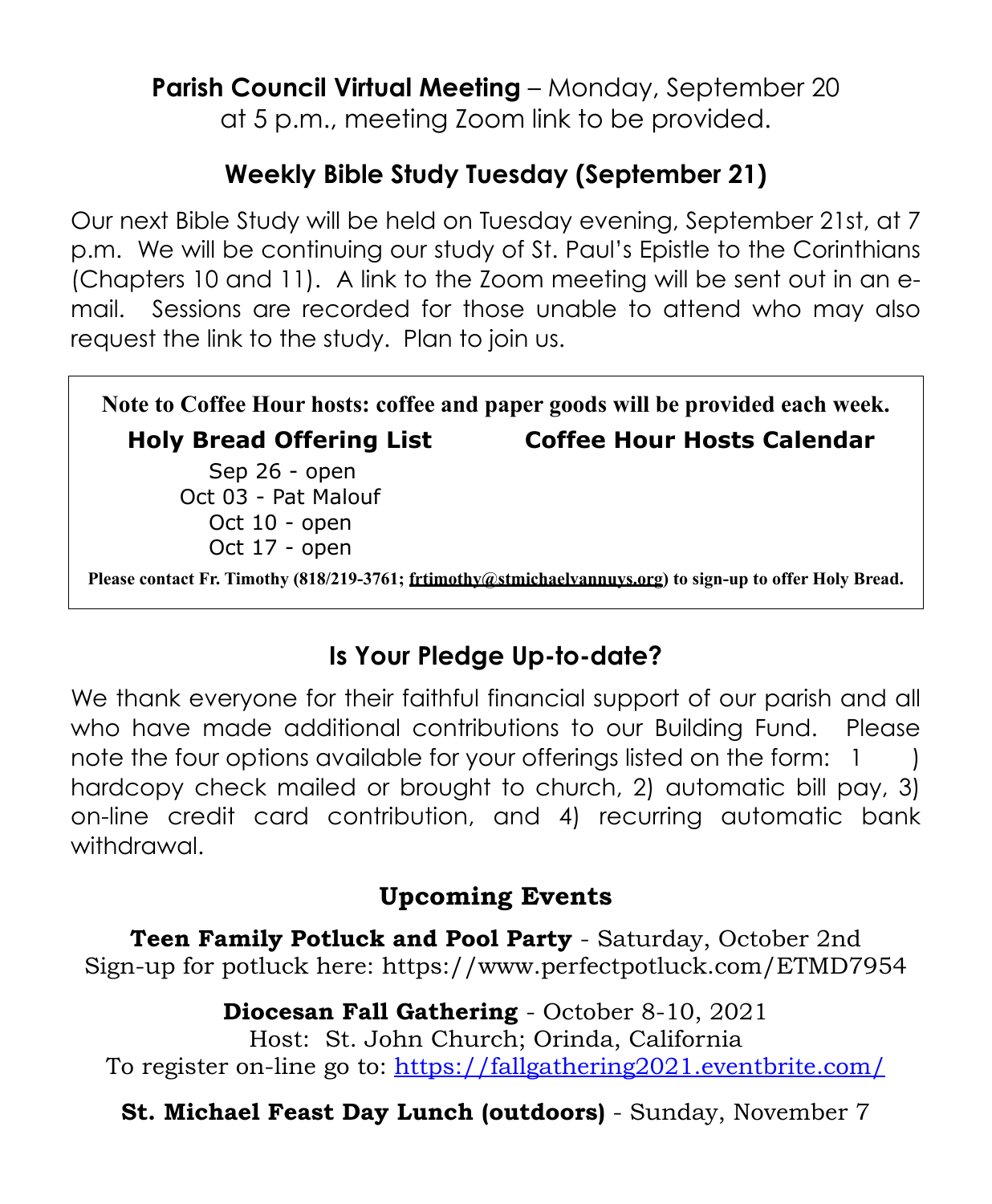**Parish Council Virtual Meeting** – Monday, September 20 at 5 p.m., meeting Zoom link to be provided.

### **Weekly Bible Study Tuesday (September 21)**

Our next Bible Study will be held on Tuesday evening, September 21st, at 7 p.m. We will be continuing our study of St. Paul's Epistle to the Corinthians (Chapters 10 and 11). A link to the Zoom meeting will be sent out in an email. Sessions are recorded for those unable to attend who may also request the link to the study. Plan to join us.

**Note to Coffee Hour hosts: coffee and paper goods will be provided each week. Holy Bread Offering List Coffee Hour Hosts Calendar** Sep 26 - open Oct 03 - Pat Malouf Oct 10 - open Oct 17 - open **Please contact Fr. Timothy (818/219-3761; frtimothy@stmichaelvannuys.org) to sign-up to offer Holy Bread.**

### **Is Your Pledge Up-to-date?**

We thank everyone for their faithful financial support of our parish and all who have made additional contributions to our Building Fund. Please note the four options available for your offerings listed on the form: 1 hardcopy check mailed or brought to church, 2) automatic bill pay, 3) on-line credit card contribution, and 4) recurring automatic bank withdrawal.

#### **Upcoming Events**

**Teen Family Potluck and Pool Party** - Saturday, October 2nd Sign-up for potluck here: https://www.perfectpotluck.com/ETMD7954

**Diocesan Fall Gathering** - October 8-10, 2021 Host: St. John Church; Orinda, California To register on-line go to: <https://fallgathering2021.eventbrite.com/>

**St. Michael Feast Day Lunch (outdoors)** - Sunday, November 7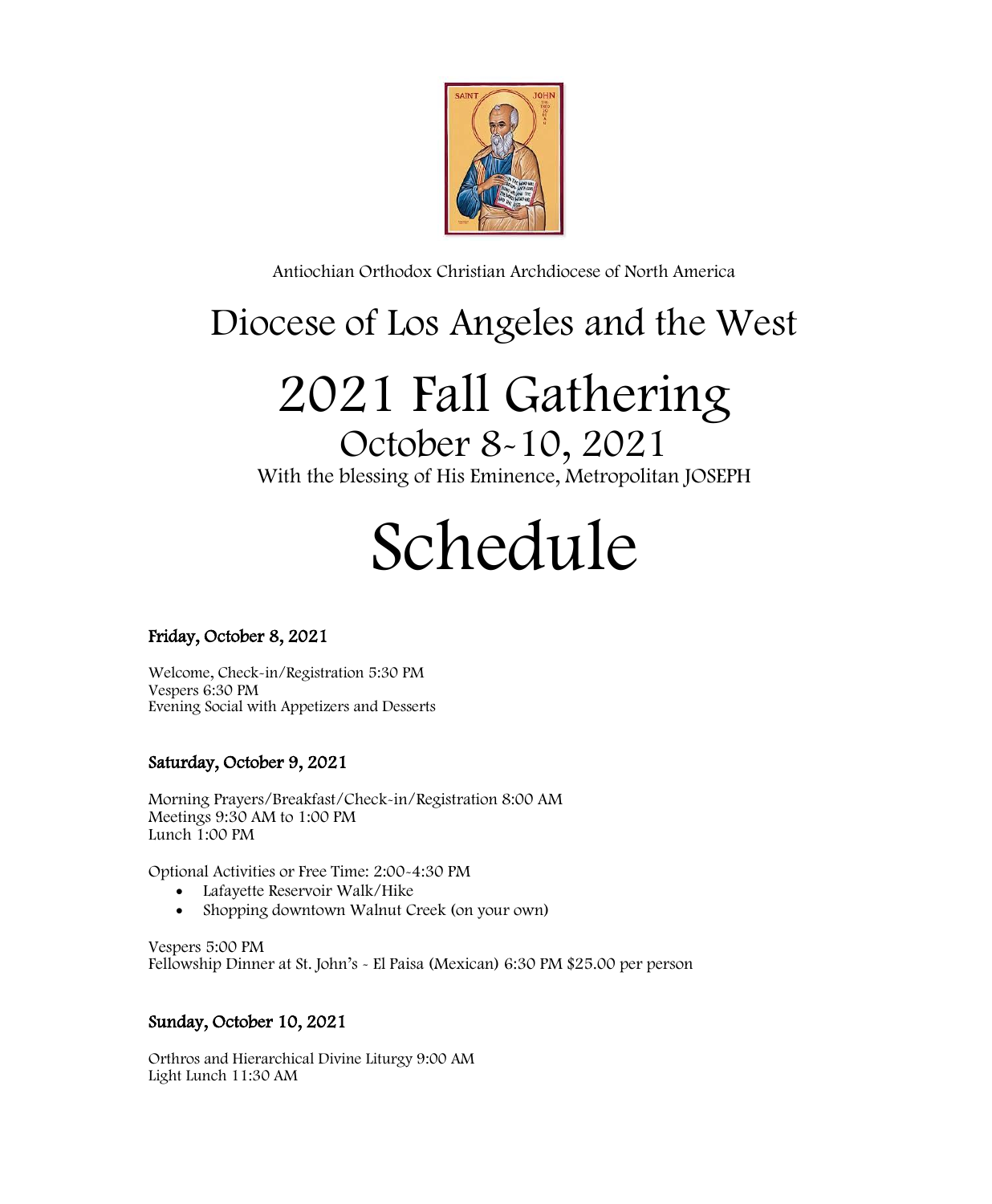

Antiochian Orthodox Christian Archdiocese of North America

# Diocese of Los Angeles and the West

# 2021 Fall Gathering

October 8-10, 2021 With the blessing of His Eminence, Metropolitan JOSEPH

# Schedule

#### Friday, October 8, 2021

Welcome, Check-in/Registration 5:30 PM Vespers 6:30 PM Evening Social with Appetizers and Desserts

#### Saturday, October 9, 2021

Morning Prayers/Breakfast/Check-in/Registration 8:00 AM Meetings 9:30 AM to 1:00 PM Lunch  $1:00$  PM

Optional Activities or Free Time: 2:00-4:30 PM

- Lafayette Reservoir Walk/Hike
- Shopping downtown Walnut Creek (on your own)

Vespers 5:00 PM Fellowship Dinner at St. John's - El Paisa (Mexican) 6:30 PM \$25.00 per person

#### Sunday, October 10, 2021

Orthros and Hierarchical Divine Liturgy 9:00 AM Light Lunch 11:30 AM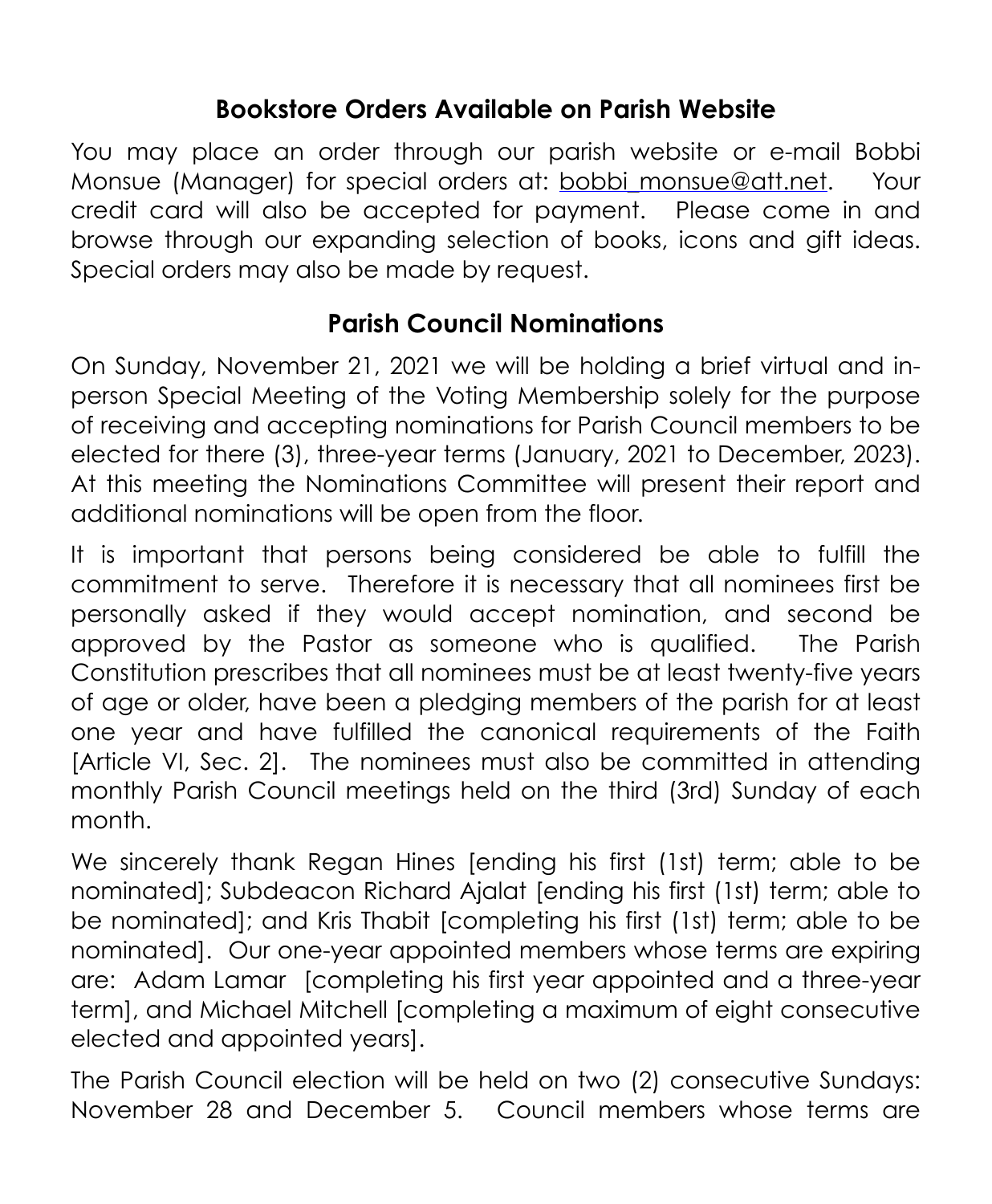#### **Bookstore Orders Available on Parish Website**

You may place an order through our parish website or e-mail Bobbi Monsue (Manager) for special orders at: [bobbi\\_monsue@att.net](mailto:bobbi_monsue@att.net). Your credit card will also be accepted for payment. Please come in and browse through our expanding selection of books, icons and gift ideas. Special orders may also be made by request.

#### **Parish Council Nominations**

On Sunday, November 21, 2021 we will be holding a brief virtual and inperson Special Meeting of the Voting Membership solely for the purpose of receiving and accepting nominations for Parish Council members to be elected for there (3), three-year terms (January, 2021 to December, 2023). At this meeting the Nominations Committee will present their report and additional nominations will be open from the floor.

It is important that persons being considered be able to fulfill the commitment to serve. Therefore it is necessary that all nominees first be personally asked if they would accept nomination, and second be approved by the Pastor as someone who is qualified. The Parish Constitution prescribes that all nominees must be at least twenty-five years of age or older, have been a pledging members of the parish for at least one year and have fulfilled the canonical requirements of the Faith [Article VI, Sec. 2]. The nominees must also be committed in attending monthly Parish Council meetings held on the third (3rd) Sunday of each month.

We sincerely thank Regan Hines [ending his first (1st) term; able to be nominated]; Subdeacon Richard Ajalat [ending his first (1st) term; able to be nominated]; and Kris Thabit [completing his first (1st) term; able to be nominated]. Our one-year appointed members whose terms are expiring are: Adam Lamar [completing his first year appointed and a three-year term], and Michael Mitchell [completing a maximum of eight consecutive elected and appointed years].

The Parish Council election will be held on two (2) consecutive Sundays: November 28 and December 5. Council members whose terms are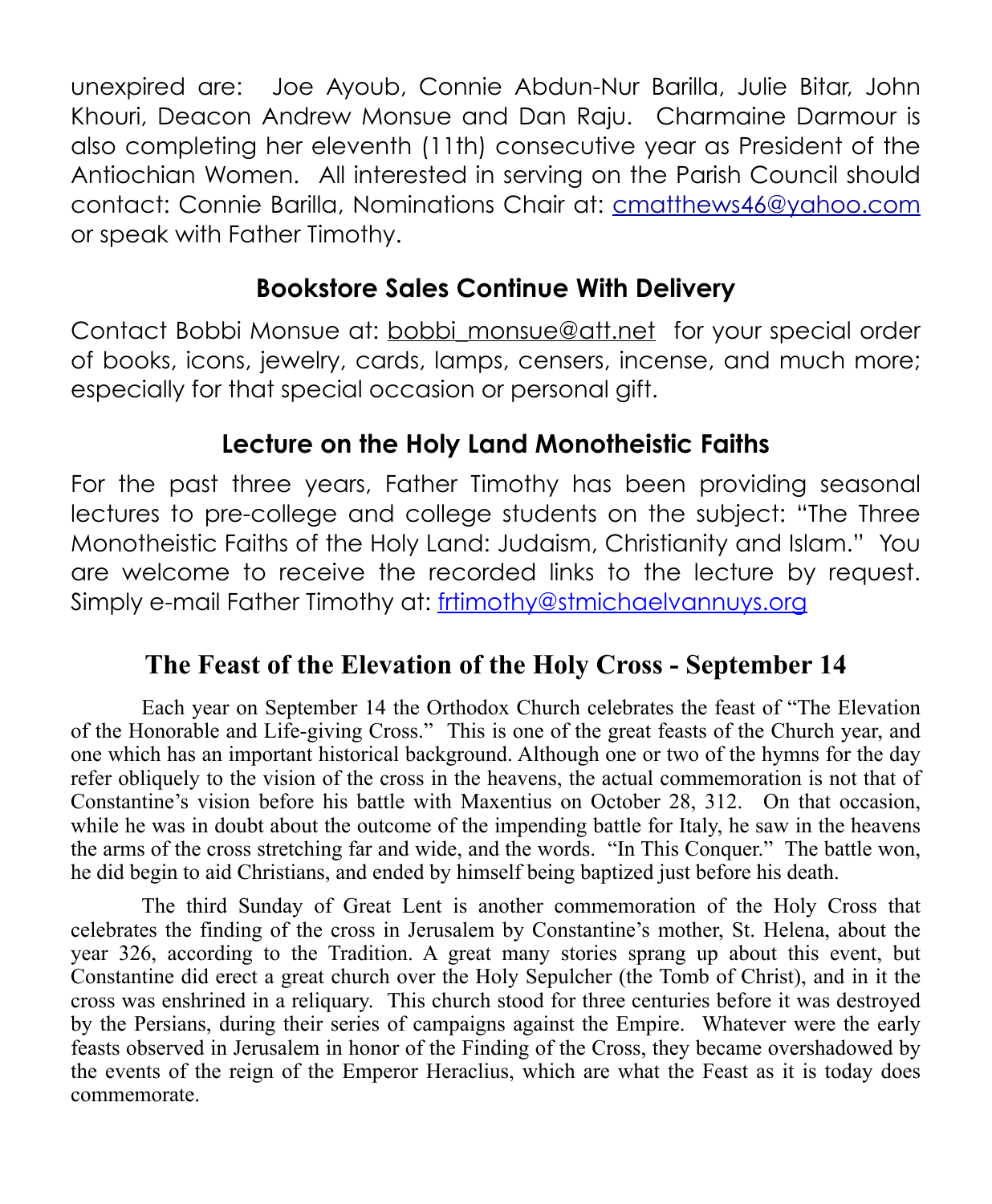unexpired are: Joe Ayoub, Connie Abdun-Nur Barilla, Julie Bitar, John Khouri, Deacon Andrew Monsue and Dan Raju. Charmaine Darmour is also completing her eleventh (11th) consecutive year as President of the Antiochian Women. All interested in serving on the Parish Council should contact: Connie Barilla, Nominations Chair at: [cmatthews46@yahoo.com](mailto:cmatthews46@yahoo.com) or speak with Father Timothy.

#### **Bookstore Sales Continue With Delivery**

Contact Bobbi Monsue at: bobbi monsue@att.net for your special order of books, icons, jewelry, cards, lamps, censers, incense, and much more; especially for that special occasion or personal gift.

#### **Lecture on the Holy Land Monotheistic Faiths**

For the past three years, Father Timothy has been providing seasonal lectures to pre-college and college students on the subject: "The Three Monotheistic Faiths of the Holy Land: Judaism, Christianity and Islam." You are welcome to receive the recorded links to the lecture by request. Simply e-mail Father Timothy at: [frtimothy@stmichaelvannuys.org](mailto:frtimothy@stmichaelvannuys.org)

#### **The Feast of the Elevation of the Holy Cross - September 14**

Each year on September 14 the Orthodox Church celebrates the feast of "The Elevation of the Honorable and Life-giving Cross." This is one of the great feasts of the Church year, and one which has an important historical background. Although one or two of the hymns for the day refer obliquely to the vision of the cross in the heavens, the actual commemoration is not that of Constantine's vision before his battle with Maxentius on October 28, 312. On that occasion, while he was in doubt about the outcome of the impending battle for Italy, he saw in the heavens the arms of the cross stretching far and wide, and the words. "In This Conquer." The battle won, he did begin to aid Christians, and ended by himself being baptized just before his death.

The third Sunday of Great Lent is another commemoration of the Holy Cross that celebrates the finding of the cross in Jerusalem by Constantine's mother, St. Helena, about the year 326, according to the Tradition. A great many stories sprang up about this event, but Constantine did erect a great church over the Holy Sepulcher (the Tomb of Christ), and in it the cross was enshrined in a reliquary. This church stood for three centuries before it was destroyed by the Persians, during their series of campaigns against the Empire. Whatever were the early feasts observed in Jerusalem in honor of the Finding of the Cross, they became overshadowed by the events of the reign of the Emperor Heraclius, which are what the Feast as it is today does commemorate.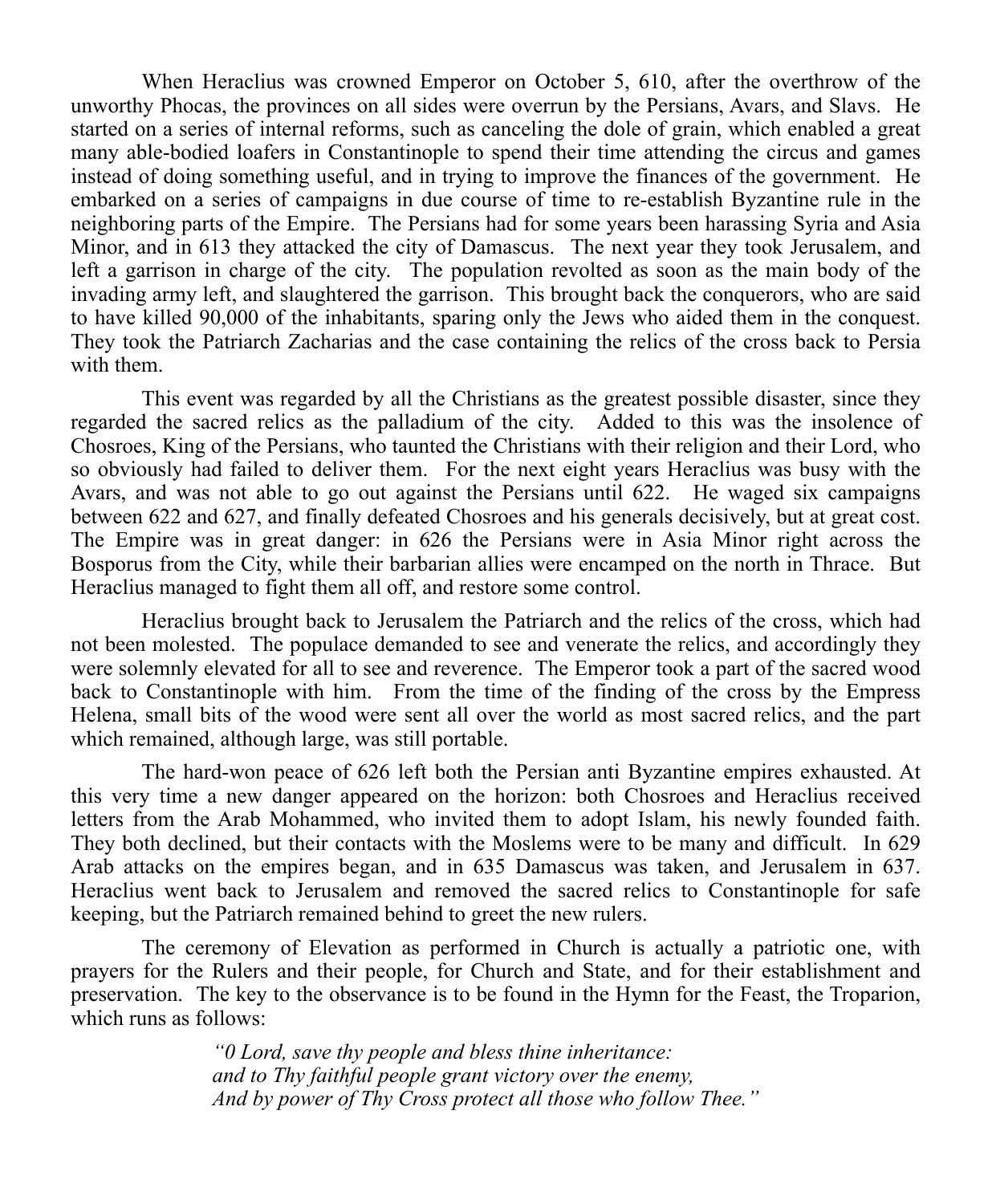When Heraclius was crowned Emperor on October 5, 610, after the overthrow of the unworthy Phocas, the provinces on all sides were overrun by the Persians, Avars, and Slavs. He started on a series of internal reforms, such as canceling the dole of grain, which enabled a great many able-bodied loafers in Constantinople to spend their time attending the circus and games instead of doing something useful, and in trying to improve the finances of the government. He embarked on a series of campaigns in due course of time to re-establish Byzantine rule in the neighboring parts of the Empire. The Persians had for some years been harassing Syria and Asia Minor, and in 613 they attacked the city of Damascus. The next year they took Jerusalem, and left a garrison in charge of the city. The population revolted as soon as the main body of the invading army left, and slaughtered the garrison. This brought back the conquerors, who are said to have killed 90,000 of the inhabitants, sparing only the Jews who aided them in the conquest. They took the Patriarch Zacharias and the case containing the relics of the cross back to Persia with them.

This event was regarded by all the Christians as the greatest possible disaster, since they regarded the sacred relics as the palladium of the city. Added to this was the insolence of Chosroes, King of the Persians, who taunted the Christians with their religion and their Lord, who so obviously had failed to deliver them. For the next eight years Heraclius was busy with the Avars, and was not able to go out against the Persians until 622. He waged six campaigns between 622 and 627, and finally defeated Chosroes and his generals decisively, but at great cost. The Empire was in great danger: in 626 the Persians were in Asia Minor right across the Bosporus from the City, while their barbarian allies were encamped on the north in Thrace. But Heraclius managed to fight them all off, and restore some control.

Heraclius brought back to Jerusalem the Patriarch and the relics of the cross, which had not been molested. The populace demanded to see and venerate the relics, and accordingly they were solemnly elevated for all to see and reverence. The Emperor took a part of the sacred wood back to Constantinople with him. From the time of the finding of the cross by the Empress Helena, small bits of the wood were sent all over the world as most sacred relics, and the part which remained, although large, was still portable.

The hard-won peace of 626 left both the Persian anti Byzantine empires exhausted. At this very time a new danger appeared on the horizon: both Chosroes and Heraclius received letters from the Arab Mohammed, who invited them to adopt Islam, his newly founded faith. They both declined, but their contacts with the Moslems were to be many and difficult. In 629 Arab attacks on the empires began, and in 635 Damascus was taken, and Jerusalem in 637. Heraclius went back to Jerusalem and removed the sacred relics to Constantinople for safe keeping, but the Patriarch remained behind to greet the new rulers.

The ceremony of Elevation as performed in Church is actually a patriotic one, with prayers for the Rulers and their people, for Church and State, and for their establishment and preservation. The key to the observance is to be found in the Hymn for the Feast, the Troparion, which runs as follows:

> *"0 Lord, save thy people and bless thine inheritance: and to Thy faithful people grant victory over the enemy, And by power of Thy Cross protect all those who follow Thee."*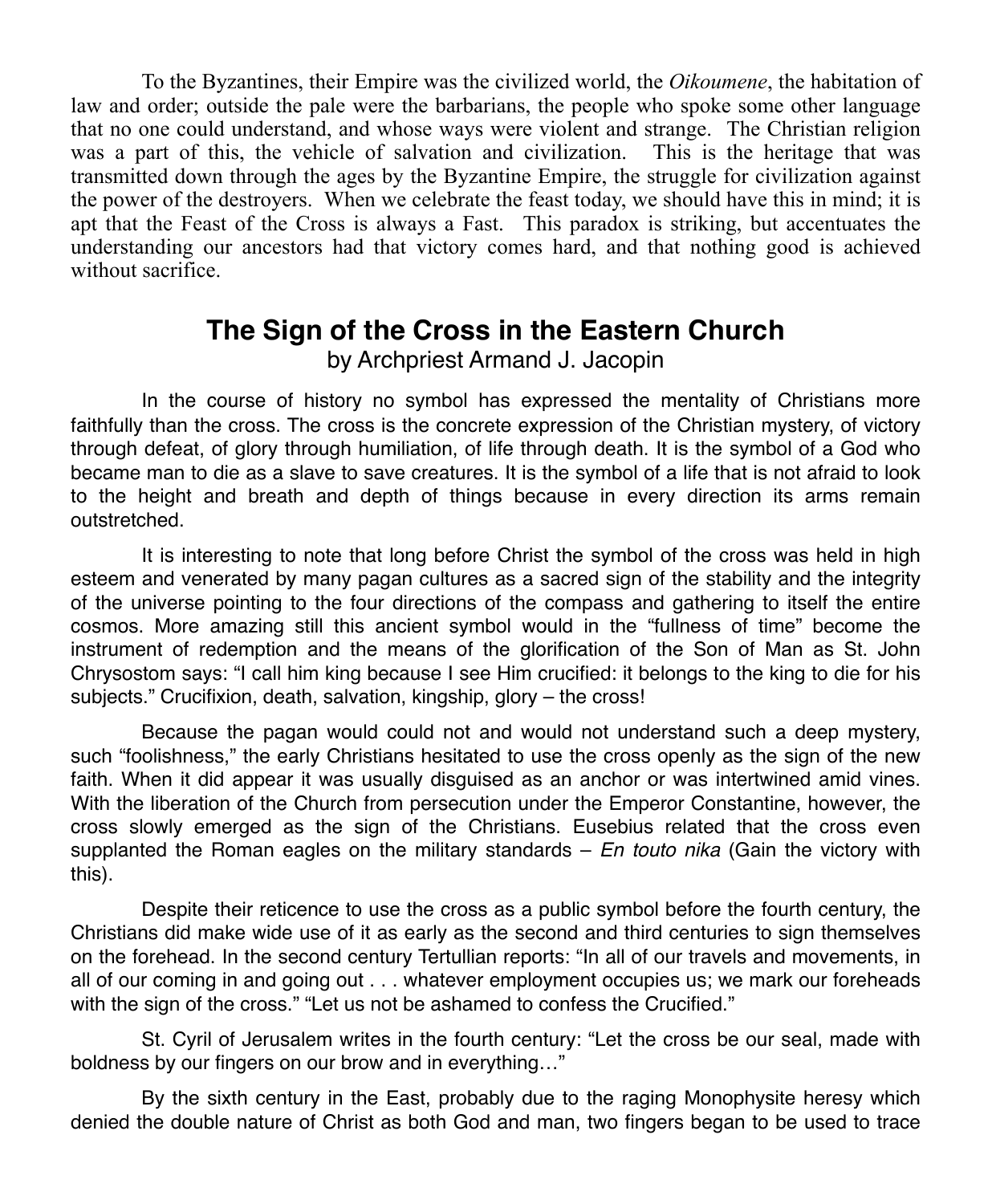To the Byzantines, their Empire was the civilized world, the *Oikoumene*, the habitation of law and order; outside the pale were the barbarians, the people who spoke some other language that no one could understand, and whose ways were violent and strange. The Christian religion was a part of this, the vehicle of salvation and civilization. This is the heritage that was transmitted down through the ages by the Byzantine Empire, the struggle for civilization against the power of the destroyers. When we celebrate the feast today, we should have this in mind; it is apt that the Feast of the Cross is always a Fast. This paradox is striking, but accentuates the understanding our ancestors had that victory comes hard, and that nothing good is achieved without sacrifice.

### **The Sign of the Cross in the Eastern Church**

by Archpriest Armand J. Jacopin

In the course of history no symbol has expressed the mentality of Christians more faithfully than the cross. The cross is the concrete expression of the Christian mystery, of victory through defeat, of glory through humiliation, of life through death. It is the symbol of a God who became man to die as a slave to save creatures. It is the symbol of a life that is not afraid to look to the height and breath and depth of things because in every direction its arms remain outstretched.

It is interesting to note that long before Christ the symbol of the cross was held in high esteem and venerated by many pagan cultures as a sacred sign of the stability and the integrity of the universe pointing to the four directions of the compass and gathering to itself the entire cosmos. More amazing still this ancient symbol would in the "fullness of time" become the instrument of redemption and the means of the glorification of the Son of Man as St. John Chrysostom says: "I call him king because I see Him crucified: it belongs to the king to die for his subjects." Crucifixion, death, salvation, kingship, glory – the cross!

Because the pagan would could not and would not understand such a deep mystery, such "foolishness," the early Christians hesitated to use the cross openly as the sign of the new faith. When it did appear it was usually disguised as an anchor or was intertwined amid vines. With the liberation of the Church from persecution under the Emperor Constantine, however, the cross slowly emerged as the sign of the Christians. Eusebius related that the cross even supplanted the Roman eagles on the military standards – *En touto nika* (Gain the victory with this).

Despite their reticence to use the cross as a public symbol before the fourth century, the Christians did make wide use of it as early as the second and third centuries to sign themselves on the forehead. In the second century Tertullian reports: "In all of our travels and movements, in all of our coming in and going out . . . whatever employment occupies us; we mark our foreheads with the sign of the cross." "Let us not be ashamed to confess the Crucified."

St. Cyril of Jerusalem writes in the fourth century: "Let the cross be our seal, made with boldness by our fingers on our brow and in everything…"

By the sixth century in the East, probably due to the raging Monophysite heresy which denied the double nature of Christ as both God and man, two fingers began to be used to trace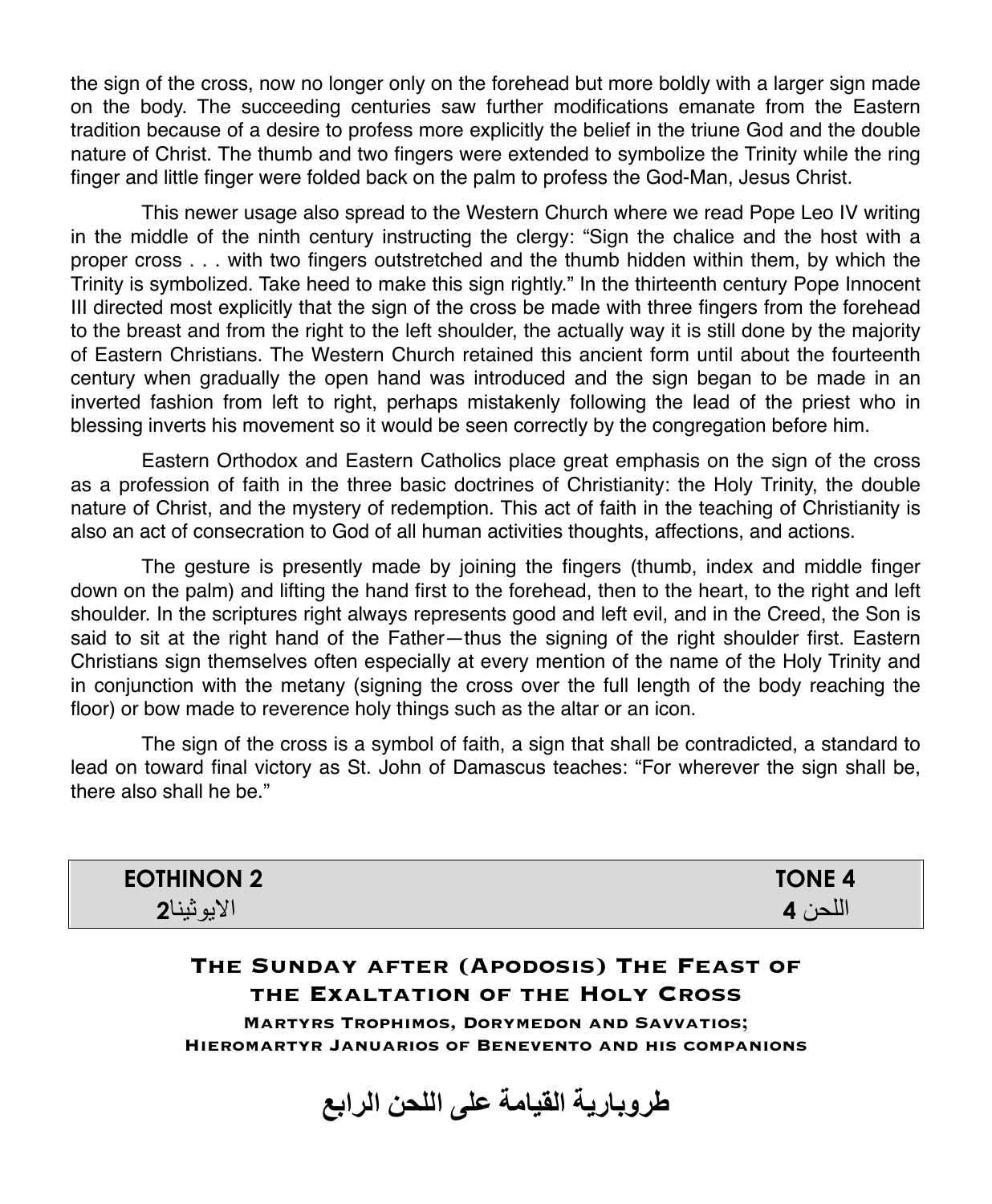the sign of the cross, now no longer only on the forehead but more boldly with a larger sign made on the body. The succeeding centuries saw further modifications emanate from the Eastern tradition because of a desire to profess more explicitly the belief in the triune God and the double nature of Christ. The thumb and two fingers were extended to symbolize the Trinity while the ring finger and little finger were folded back on the palm to profess the God-Man, Jesus Christ.

This newer usage also spread to the Western Church where we read Pope Leo IV writing in the middle of the ninth century instructing the clergy: "Sign the chalice and the host with a proper cross . . . with two fingers outstretched and the thumb hidden within them, by which the Trinity is symbolized. Take heed to make this sign rightly." In the thirteenth century Pope Innocent III directed most explicitly that the sign of the cross be made with three fingers from the forehead to the breast and from the right to the left shoulder, the actually way it is still done by the majority of Eastern Christians. The Western Church retained this ancient form until about the fourteenth century when gradually the open hand was introduced and the sign began to be made in an inverted fashion from left to right, perhaps mistakenly following the lead of the priest who in blessing inverts his movement so it would be seen correctly by the congregation before him.

Eastern Orthodox and Eastern Catholics place great emphasis on the sign of the cross as a profession of faith in the three basic doctrines of Christianity: the Holy Trinity, the double nature of Christ, and the mystery of redemption. This act of faith in the teaching of Christianity is also an act of consecration to God of all human activities thoughts, affections, and actions.

The gesture is presently made by joining the fingers (thumb, index and middle finger down on the palm) and lifting the hand first to the forehead, then to the heart, to the right and left shoulder. In the scriptures right always represents good and left evil, and in the Creed, the Son is said to sit at the right hand of the Father—thus the signing of the right shoulder first. Eastern Christians sign themselves often especially at every mention of the name of the Holy Trinity and in conjunction with the metany (signing the cross over the full length of the body reaching the floor) or bow made to reverence holy things such as the altar or an icon.

The sign of the cross is a symbol of faith, a sign that shall be contradicted, a standard to lead on toward final victory as St. John of Damascus teaches: "For wherever the sign shall be, there also shall he be."

| <b>EOTHINON 2</b> | <b>TONE 4</b> |
|-------------------|---------------|
| ומ<br>∀لایونینا∡  |               |

#### **The Sunday after (Apodosis) The Feast of the Exaltation of the Holy Cross**

**Martyrs Trophimos, Dorymedon and Savvatios; Hieromartyr Januarios of Benevento and his companions**

**طروباریة القیامة على اللحن الرابع**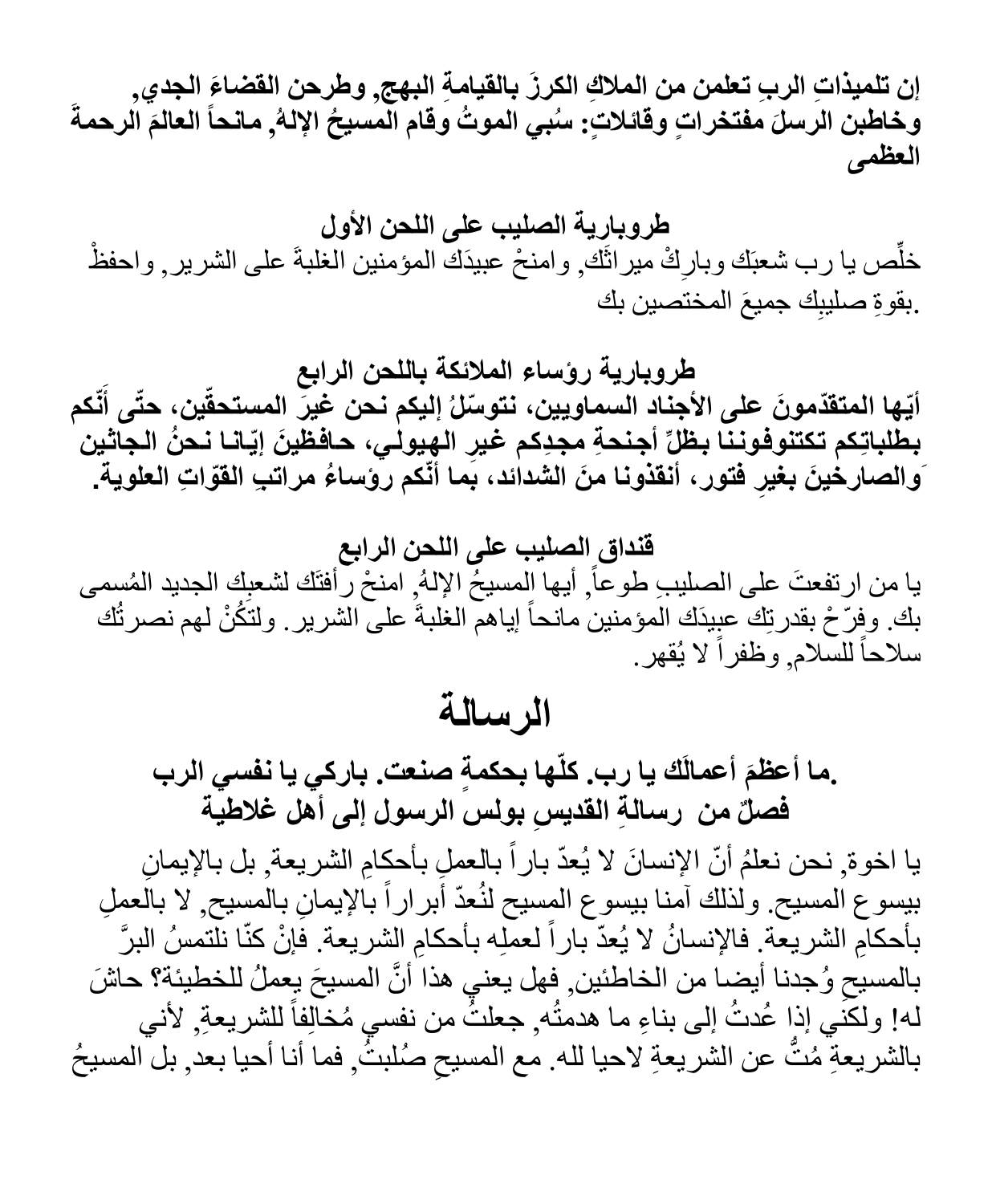إن تلميذاتِ الربِ تعلمن من الملاكِ الكرزَ بِالفيامةِ البهج, وطرحن الفضاعَ الجدي,<br>وخاطبن الرسلَ مفتخراتٍ وقائلاتٍ: سُبي الموتُ وقام المسيحُ الإلهُ, مانحاً العالمَ الرحمةَ **العظمى**

**طروباریة الصلیب على اللحن الأول** خلِّص يا رب شعبَك وبارِكْ ميراثَك ٖ وامنحْ عبيدَك المؤمنين الغلبةَ على الشرير ¸ واحفظْ .بقوةِ صليبِك جميعَ المختصين بك

**طروباریة رؤساء الملائكة باللحن الرابع** أيّها المتقدّمونَ على الأجناد السماويين، نتوسّلُ إليكم نـحن غِيرٍّ المستحقّين، حتّى أنّكم **َ** بطلباتِكم تكتنوفوننا بظلِّ أجنحةِ مجدِكم غيرِ الهِيولي، حافظينَ إيّانا نحنُ الجاثين **ِ فتور، أنقذونا َمن الشدائد، بما أّنكم رؤسا ُء مرات ِب القّوا ِت العلویة. َوالصارخ َین بغیر**

**قنداق الصلیب على اللحن الرابع** يا من ارتفعتَ على الصليبِ طوعاً, أيها المسيحُ الإلهُ ٍ امنحْ رَّأفتَك لشعبِك الجديد المُسمى بك وفِرّ حْ بقدرتِك عبِيدَك المؤمنين مانحاً إياهم الغلبةَ على الشرير . ولتَكُنْ لهم نصرتُك سلاحاً للسلام, وظفراً لا يُقهر.

**الرسالة**

**ّھا بح ٍ كمة صنعت. باركي یا نفسي الرب َك یا رب. كل َ أعمال .ما أعظم فص ٌل من رسا ِ لة القدی ِس بولس الرسول إلى أھل غلاطیة**

يا اخوة ٍ نحن نعلمُ أنّ الإنسانَ لا يُعدّ باراً بالعملِ بأحكامِ الشريعة ٍ بل بالإيمانِ بيسوع المسيح ولذلك آمنا بيسوع المسيح لنُعدّ أبر اراً بالإيمانِ بالمسيح ٍ لا بالُعمِلِ بأحكامِ الشريعة فالإنسانُ لا يُعدّ باراً لعمله بأحكامِ الشريعة فإنْ كنّا نلّتمسُ البرَّ بالمسيح وُجدنا أيضـا من الخاطئين, فهل يعني هذا أنَّ المسيحَ يعملُ للخطيئة؟ حاشَ<br>. له! ولكَني إذا عُدتُ إلى بناءِ ما هدمتُه جعلتٌ من نفسي مُخَالِفاً للشريعةِ لأني بالشريعةِ مُتَّ عن الشريعةِ لاحيا لله. مع المسيحِ صُلبتُ<sub>,</sub> فما أنا أحيا بعد<sub>,</sub> بل المسيحُ ا<br>ا